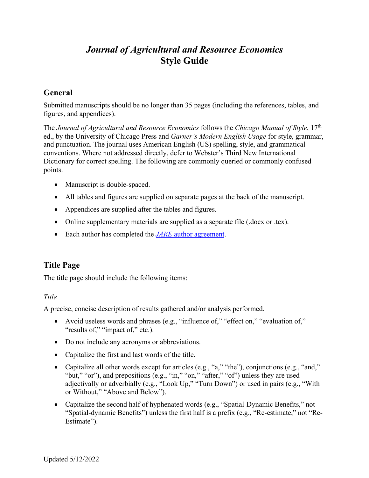# *Journal of Agricultural and Resource Economics* **Style Guide**

# **General**

Submitted manuscripts should be no longer than 35 pages (including the references, tables, and figures, and appendices).

The *Journal of Agricultural and Resource Economics* follows the *Chicago Manual of Style*, 17th ed., by the University of Chicago Press and *Garner's Modern English Usage* for style, grammar, and punctuation. The journal uses American English (US) spelling, style, and grammatical conventions. Where not addressed directly, defer to Webster's Third New International Dictionary for correct spelling. The following are commonly queried or commonly confused points.

- Manuscript is double-spaced.
- All tables and figures are supplied on separate pages at the back of the manuscript.
- Appendices are supplied after the tables and figures.
- Online supplementary materials are supplied as a separate file (.docx or .tex).
- Each author has completed the *JARE* author agreement.

# **Title Page**

The title page should include the following items:

## *Title*

A precise, concise description of results gathered and/or analysis performed.

- Avoid useless words and phrases (e.g., "influence of," "effect on," "evaluation of," "results of," "impact of," etc.).
- Do not include any acronyms or abbreviations.
- Capitalize the first and last words of the title.
- Capitalize all other words except for articles (e.g., "a," "the"), conjunctions (e.g., "and," "but," "or"), and prepositions (e.g., "in," "on," "after," "of") unless they are used adjectivally or adverbially (e.g., "Look Up," "Turn Down") or used in pairs (e.g., "With or Without," "Above and Below").
- Capitalize the second half of hyphenated words (e.g., "Spatial-Dynamic Benefits," not "Spatial-dynamic Benefits") unless the first half is a prefix (e.g., "Re-estimate," not "Re-Estimate").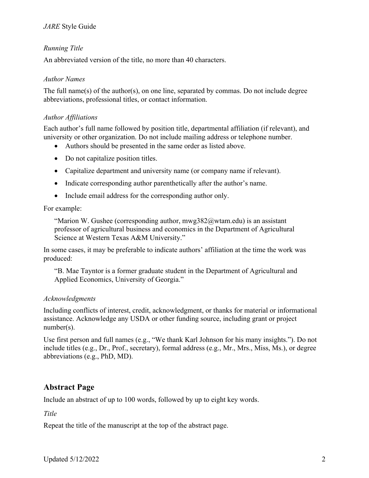# *Running Title*

An abbreviated version of the title, no more than 40 characters.

## *Author Names*

The full name(s) of the author(s), on one line, separated by commas. Do not include degree abbreviations, professional titles, or contact information.

# *Author Affiliations*

Each author's full name followed by position title, departmental affiliation (if relevant), and university or other organization. Do not include mailing address or telephone number.

- Authors should be presented in the same order as listed above.
- Do not capitalize position titles.
- Capitalize department and university name (or company name if relevant).
- Indicate corresponding author parenthetically after the author's name.
- Include email address for the corresponding author only.

## For example:

"Marion W. Gushee (corresponding author,  $mwg382$   $@$  wtam.edu) is an assistant professor of agricultural business and economics in the Department of Agricultural Science at Western Texas A&M University."

In some cases, it may be preferable to indicate authors' affiliation at the time the work was produced:

"B. Mae Tayntor is a former graduate student in the Department of Agricultural and Applied Economics, University of Georgia."

## *Acknowledgments*

Including conflicts of interest, credit, acknowledgment, or thanks for material or informational assistance. Acknowledge any USDA or other funding source, including grant or project number(s).

Use first person and full names (e.g., "We thank Karl Johnson for his many insights."). Do not include titles (e.g., Dr., Prof., secretary), formal address (e.g., Mr., Mrs., Miss, Ms.), or degree abbreviations (e.g., PhD, MD).

# **Abstract Page**

Include an abstract of up to 100 words, followed by up to eight key words.

*Title*

Repeat the title of the manuscript at the top of the abstract page.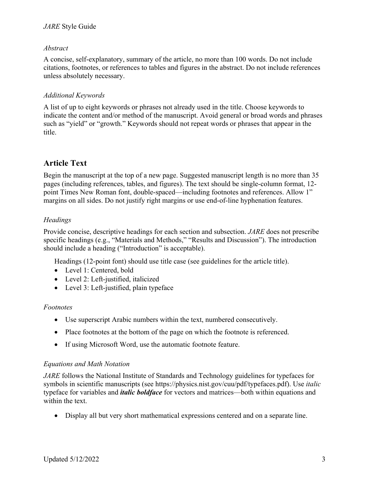## *Abstract*

A concise, self-explanatory, summary of the article, no more than 100 words. Do not include citations, footnotes, or references to tables and figures in the abstract. Do not include references unless absolutely necessary.

## *Additional Keywords*

A list of up to eight keywords or phrases not already used in the title. Choose keywords to indicate the content and/or method of the manuscript. Avoid general or broad words and phrases such as "yield" or "growth." Keywords should not repeat words or phrases that appear in the title.

# **Article Text**

Begin the manuscript at the top of a new page. Suggested manuscript length is no more than 35 pages (including references, tables, and figures). The text should be single-column format, 12 point Times New Roman font, double-spaced—including footnotes and references. Allow 1" margins on all sides. Do not justify right margins or use end-of-line hyphenation features.

## *Headings*

Provide concise, descriptive headings for each section and subsection. *JARE* does not prescribe specific headings (e.g., "Materials and Methods," "Results and Discussion"). The introduction should include a heading ("Introduction" is acceptable).

Headings (12-point font) should use title case (see guidelines for the article title).

- Level 1: Centered, bold
- Level 2: Left-justified, italicized
- Level 3: Left-justified, plain typeface

## *Footnotes*

- Use superscript Arabic numbers within the text, numbered consecutively.
- Place footnotes at the bottom of the page on which the footnote is referenced.
- If using Microsoft Word, use the automatic footnote feature.

## *Equations and Math Notation*

*JARE* follows the National Institute of Standards and Technology guidelines for typefaces for symbols in scientific manuscripts (see https://physics.nist.gov/cuu/pdf/typefaces.pdf). Use *italic* typeface for variables and *italic boldface* for vectors and matrices—both within equations and within the text.

• Display all but very short mathematical expressions centered and on a separate line.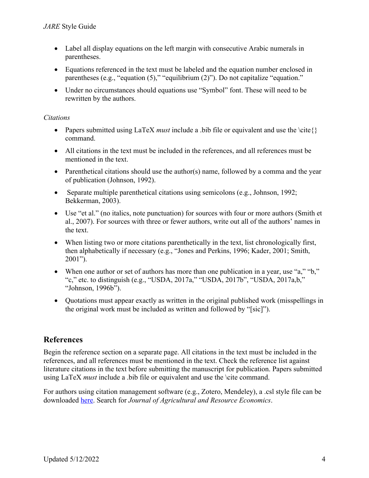- Label all display equations on the left margin with consecutive Arabic numerals in parentheses.
- Equations referenced in the text must be labeled and the equation number enclosed in parentheses (e.g., "equation (5)," "equilibrium (2)"). Do not capitalize "equation."
- Under no circumstances should equations use "Symbol" font. These will need to be rewritten by the authors.

# *Citations*

- Papers submitted using  $LaTeX must include a bib file or equivalent and use the \cite{}$ command.
- All citations in the text must be included in the references, and all references must be mentioned in the text.
- Parenthetical citations should use the author(s) name, followed by a comma and the year of publication (Johnson, 1992).
- Separate multiple parenthetical citations using semicolons (e.g., Johnson, 1992; Bekkerman, 2003).
- Use "et al." (no italics, note punctuation) for sources with four or more authors (Smith et al., 2007). For sources with three or fewer authors, write out all of the authors' names in the text.
- When listing two or more citations parenthetically in the text, list chronologically first, then alphabetically if necessary (e.g., "Jones and Perkins, 1996; Kader, 2001; Smith, 2001").
- When one author or set of authors has more than one publication in a year, use "a," "b," "c," etc. to distinguish (e.g., "USDA, 2017a," "USDA, 2017b", "USDA, 2017a,b," "Johnson, 1996b").
- Ouotations must appear exactly as written in the original published work (misspellings in the original work must be included as written and followed by "[sic]").

# **References**

Begin the reference section on a separate page. All citations in the text must be included in the references, and all references must be mentioned in the text. Check the reference list against literature citations in the text before submitting the manuscript for publication. Papers submitted using LaTeX *must* include a .bib file or equivalent and use the \cite command.

For authors using citation management software (e.g., Zotero, Mendeley), a .csl style file can be downloaded here. Search for *Journal of Agricultural and Resource Economics*.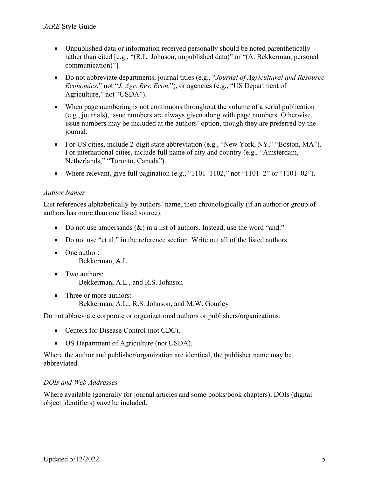- Unpublished data or information received personally should be noted parenthetically rather than cited [e.g., "(R.L. Johnson, unpublished data)" or "(A. Bekkerman, personal communication)"].
- Do not abbreviate departments, journal titles (e.g., "*Journal of Agricultural and Resource Economics*," not "*J. Agr. Res. Econ.*"), or agencies (e.g., "US Department of Agriculture," not "USDA").
- When page numbering is not continuous throughout the volume of a serial publication (e.g., journals), issue numbers are always given along with page numbers. Otherwise, issue numbers may be included at the authors' option, though they are preferred by the journal.
- For US cities, include 2-digit state abbreviation (e.g., "New York, NY," "Boston, MA"). For international cities, include full name of city and country (e.g., "Amsterdam, Netherlands," "Toronto, Canada").
- Where relevant, give full pagination (e.g., "1101–1102," not "1101–2" or "1101–02").

## *Author Names*

List references alphabetically by authors' name, then chronologically (if an author or group of authors has more than one listed source).

- Do not use ampersands  $(\&)$  in a list of authors. Instead, use the word "and."
- Do not use "et al." in the reference section. Write out all of the listed authors.
- One author: Bekkerman, A.L.
- Two authors: Bekkerman, A.L., and R.S. Johnson
- Three or more authors: Bekkerman, A.L., R.S. Johnson, and M.W. Gourley

Do not abbreviate corporate or organizational authors or publishers/organizations:

- Centers for Disease Control (not CDC),
- US Department of Agriculture (not USDA).

Where the author and publisher/organization are identical, the publisher name may be abbreviated.

# *DOIs and Web Addresses*

Where available (generally for journal articles and some books/book chapters), DOIs (digital object identifiers) *must* be included.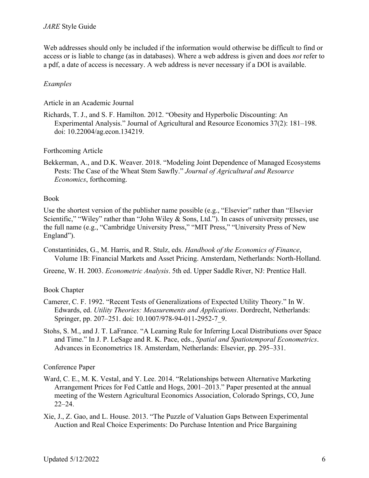Web addresses should only be included if the information would otherwise be difficult to find or access or is liable to change (as in databases). Where a web address is given and does *not* refer to a pdf, a date of access is necessary. A web address is never necessary if a DOI is available.

## *Examples*

Article in an Academic Journal

Richards, T. J., and S. F. Hamilton. 2012. "Obesity and Hyperbolic Discounting: An Experimental Analysis." Journal of Agricultural and Resource Economics 37(2): 181–198. doi: 10.22004/ag.econ.134219.

#### Forthcoming Article

Bekkerman, A., and D.K. Weaver. 2018. "Modeling Joint Dependence of Managed Ecosystems Pests: The Case of the Wheat Stem Sawfly." *Journal of Agricultural and Resource Economics*, forthcoming.

#### Book

Use the shortest version of the publisher name possible (e.g., "Elsevier" rather than "Elsevier Scientific," "Wiley" rather than "John Wiley & Sons, Ltd."). In cases of university presses, use the full name (e.g., "Cambridge University Press," "MIT Press," "University Press of New England").

- Constantinides, G., M. Harris, and R. Stulz, eds. *Handbook of the Economics of Finance*, Volume 1B: Financial Markets and Asset Pricing. Amsterdam, Netherlands: North-Holland.
- Greene, W. H. 2003. *Econometric Analysis*. 5th ed. Upper Saddle River, NJ: Prentice Hall.

## Book Chapter

- Camerer, C. F. 1992. "Recent Tests of Generalizations of Expected Utility Theory." In W. Edwards, ed. *Utility Theories: Measurements and Applications*. Dordrecht, Netherlands: Springer, pp. 207–251. doi: 10.1007/978-94-011-2952-7\_9.
- Stohs, S. M., and J. T. LaFrance. "A Learning Rule for Inferring Local Distributions over Space and Time." In J. P. LeSage and R. K. Pace, eds., *Spatial and Spatiotemporal Econometrics*. Advances in Econometrics 18. Amsterdam, Netherlands: Elsevier, pp. 295–331.

## Conference Paper

- Ward, C. E., M. K. Vestal, and Y. Lee. 2014. "Relationships between Alternative Marketing Arrangement Prices for Fed Cattle and Hogs, 2001–2013." Paper presented at the annual meeting of the Western Agricultural Economics Association, Colorado Springs, CO, June 22–24.
- Xie, J., Z. Gao, and L. House. 2013. "The Puzzle of Valuation Gaps Between Experimental Auction and Real Choice Experiments: Do Purchase Intention and Price Bargaining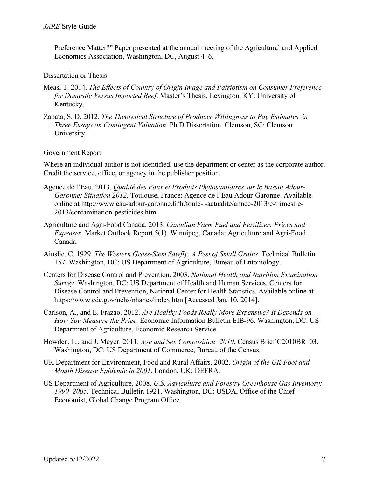Preference Matter?" Paper presented at the annual meeting of the Agricultural and Applied Economics Association, Washington, DC, August 4–6.

#### Dissertation or Thesis

- Meas, T. 2014. *The Effects of Country of Origin Image and Patriotism on Consumer Preference for Domestic Versus Imported Beef*. Master's Thesis. Lexington, KY: University of Kentucky.
- Zapata, S. D. 2012. *The Theoretical Structure of Producer Willingness to Pay Estimates, in Three Essays on Contingent Valuation*. Ph.D Dissertation. Clemson, SC: Clemson University.

#### Government Report

Where an individual author is not identified, use the department or center as the corporate author. Credit the service, office, or agency in the publisher position.

- Agence de l'Eau. 2013. *Qualité des Eaux et Produits Phytosanitaires sur le Bassin Adour-Garonne: Situation 2012*. Toulouse, France: Agence de l'Eau Adour-Garonne. Available online at http://www.eau-adour-garonne.fr/fr/toute-l-actualite/annee-2013/e-trimestre-2013/contamination-pesticides.html.
- Agriculture and Agri-Food Canada. 2013. *Canadian Farm Fuel and Fertilizer: Prices and Expenses.* Market Outlook Report 5(1). Winnipeg, Canada: Agriculture and Agri-Food Canada.
- Ainslie, C. 1929. *The Western Grass-Stem Sawfly: A Pest of Small Grains*. Technical Bulletin 157. Washington, DC: US Department of Agriculture, Bureau of Entomology.
- Centers for Disease Control and Prevention. 2003. *National Health and Nutrition Examination Survey*. Washington, DC: US Department of Health and Human Services, Centers for Disease Control and Prevention, National Center for Health Statistics. Available online at https://www.cdc.gov/nchs/nhanes/index.htm [Accessed Jan. 10, 2014].
- Carlson, A., and E. Frazao. 2012. *Are Healthy Foods Really More Expensive? It Depends on How You Measure the Price*. Economic Information Bulletin EIB-96. Washington, DC: US Department of Agriculture, Economic Research Service.
- Howden, L., and J. Meyer. 2011. *Age and Sex Composition: 2010*. Census Brief C2010BR–03. Washington, DC: US Department of Commerce, Bureau of the Census.
- UK Department for Environment, Food and Rural Affairs. 2002. *Origin of the UK Foot and Mouth Disease Epidemic in 2001*. London, UK: DEFRA.
- US Department of Agriculture. 2008. *U.S. Agriculture and Forestry Greenhouse Gas Inventory: 1990–2005*. Technical Bulletin 1921. Washington, DC: USDA, Office of the Chief Economist, Global Change Program Office.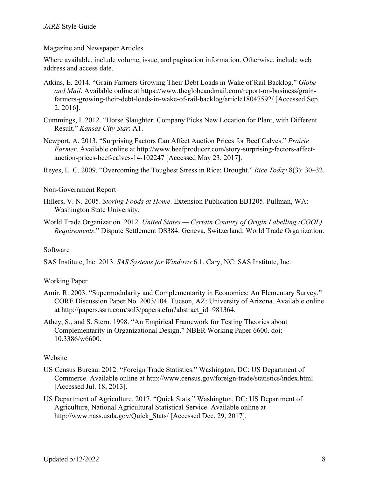Magazine and Newspaper Articles

Where available, include volume, issue, and pagination information. Otherwise, include web address and access date.

- Atkins, E. 2014. "Grain Farmers Growing Their Debt Loads in Wake of Rail Backlog." *Globe and Mail*. Available online at https://www.theglobeandmail.com/report-on-business/grainfarmers-growing-their-debt-loads-in-wake-of-rail-backlog/article18047592/ [Accessed Sep. 2, 2016].
- Cummings, I. 2012. "Horse Slaughter: Company Picks New Location for Plant, with Different Result." *Kansas City Star*: A1.
- Newport, A. 2013. "Surprising Factors Can Affect Auction Prices for Beef Calves." *Prairie Farmer*. Available online at http://www.beefproducer.com/story-surprising-factors-affectauction-prices-beef-calves-14-102247 [Accessed May 23, 2017].
- Reyes, L. C. 2009. "Overcoming the Toughest Stress in Rice: Drought." *Rice Today* 8(3): 30–32.

#### Non-Government Report

- Hillers, V. N. 2005. *Storing Foods at Home*. Extension Publication EB1205. Pullman, WA: Washington State University.
- World Trade Organization. 2012. *United States — Certain Country of Origin Labelling (COOL) Requirements*." Dispute Settlement DS384. Geneva, Switzerland: World Trade Organization.

#### Software

SAS Institute, Inc. 2013. *SAS Systems for Windows* 6.1. Cary, NC: SAS Institute, Inc.

## Working Paper

- Amir, R. 2003. "Supermodularity and Complementarity in Economics: An Elementary Survey." CORE Discussion Paper No. 2003/104. Tucson, AZ: University of Arizona. Available online at http://papers.ssrn.com/sol3/papers.cfm?abstract\_id=981364.
- Athey, S., and S. Stern. 1998. "An Empirical Framework for Testing Theories about Complementarity in Organizational Design." NBER Working Paper 6600. doi: 10.3386/w6600.

## Website

- US Census Bureau. 2012. "Foreign Trade Statistics." Washington, DC: US Department of Commerce. Available online at http://www.census.gov/foreign-trade/statistics/index.html [Accessed Jul. 18, 2013].
- US Department of Agriculture. 2017. "Quick Stats." Washington, DC: US Department of Agriculture, National Agricultural Statistical Service. Available online at http://www.nass.usda.gov/Quick\_Stats/ [Accessed Dec. 29, 2017].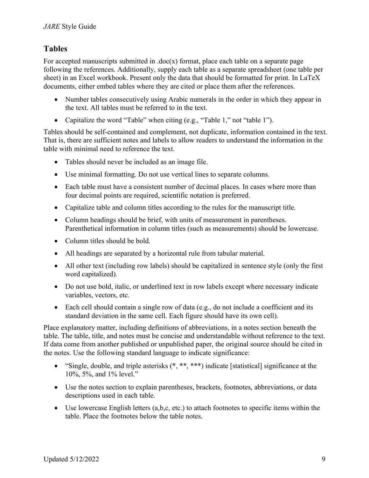# **Tables**

For accepted manuscripts submitted in  $.doc(x)$  format, place each table on a separate page following the references. Additionally, supply each table as a separate spreadsheet (one table per sheet) in an Excel workbook. Present only the data that should be formatted for print. In LaTeX documents, either embed tables where they are cited or place them after the references.

- Number tables consecutively using Arabic numerals in the order in which they appear in the text. All tables must be referred to in the text.
- Capitalize the word "Table" when citing (e.g., "Table 1," not "table 1").

Tables should be self-contained and complement, not duplicate, information contained in the text. That is, there are sufficient notes and labels to allow readers to understand the information in the table with minimal need to reference the text.

- Tables should never be included as an image file.
- Use minimal formatting. Do not use vertical lines to separate columns.
- Each table must have a consistent number of decimal places. In cases where more than four decimal points are required, scientific notation is preferred.
- Capitalize table and column titles according to the rules for the manuscript title.
- Column headings should be brief, with units of measurement in parentheses. Parenthetical information in column titles (such as measurements) should be lowercase.
- Column titles should be bold.
- All headings are separated by a horizontal rule from tabular material.
- All other text (including row labels) should be capitalized in sentence style (only the first word capitalized).
- Do not use bold, italic, or underlined text in row labels except where necessary indicate variables, vectors, etc.
- Each cell should contain a single row of data (e.g., do not include a coefficient and its standard deviation in the same cell. Each figure should have its own cell).

Place explanatory matter, including definitions of abbreviations, in a notes section beneath the table. The table, title, and notes must be concise and understandable without reference to the text. If data come from another published or unpublished paper, the original source should be cited in the notes. Use the following standard language to indicate significance:

- "Single, double, and triple asterisks  $(*, **, ***)$  indicate [statistical] significance at the 10%, 5%, and 1% level."
- Use the notes section to explain parentheses, brackets, footnotes, abbreviations, or data descriptions used in each table.
- Use lowercase English letters  $(a,b,c, etc.)$  to attach footnotes to specific items within the table. Place the footnotes below the table notes.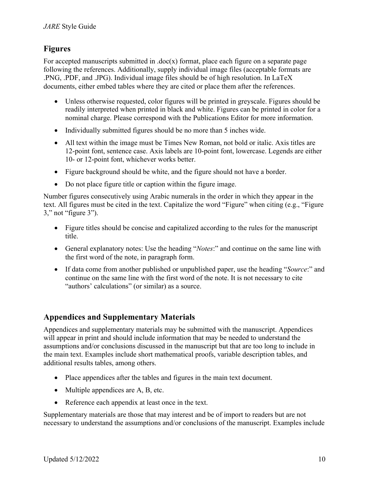# **Figures**

For accepted manuscripts submitted in  $doc(x)$  format, place each figure on a separate page following the references. Additionally, supply individual image files (acceptable formats are .PNG, .PDF, and .JPG). Individual image files should be of high resolution. In LaTeX documents, either embed tables where they are cited or place them after the references.

- Unless otherwise requested, color figures will be printed in greyscale. Figures should be readily interpreted when printed in black and white. Figures can be printed in color for a nominal charge. Please correspond with the Publications Editor for more information.
- Individually submitted figures should be no more than 5 inches wide.
- All text within the image must be Times New Roman, not bold or italic. Axis titles are 12-point font, sentence case. Axis labels are 10-point font, lowercase. Legends are either 10- or 12-point font, whichever works better.
- Figure background should be white, and the figure should not have a border.
- Do not place figure title or caption within the figure image.

Number figures consecutively using Arabic numerals in the order in which they appear in the text. All figures must be cited in the text. Capitalize the word "Figure" when citing (e.g., "Figure 3," not "figure 3").

- Figure titles should be concise and capitalized according to the rules for the manuscript title.
- General explanatory notes: Use the heading "*Notes*:" and continue on the same line with the first word of the note, in paragraph form.
- If data come from another published or unpublished paper, use the heading "*Source*:" and continue on the same line with the first word of the note. It is not necessary to cite "authors' calculations" (or similar) as a source.

# **Appendices and Supplementary Materials**

Appendices and supplementary materials may be submitted with the manuscript. Appendices will appear in print and should include information that may be needed to understand the assumptions and/or conclusions discussed in the manuscript but that are too long to include in the main text. Examples include short mathematical proofs, variable description tables, and additional results tables, among others.

- Place appendices after the tables and figures in the main text document.
- Multiple appendices are A, B, etc.
- Reference each appendix at least once in the text.

Supplementary materials are those that may interest and be of import to readers but are not necessary to understand the assumptions and/or conclusions of the manuscript. Examples include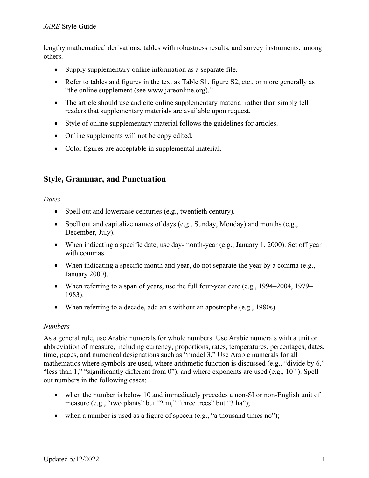lengthy mathematical derivations, tables with robustness results, and survey instruments, among others.

- Supply supplementary online information as a separate file.
- Refer to tables and figures in the text as Table S1, figure S2, etc., or more generally as "the online supplement (see www.jareonline.org)."
- The article should use and cite online supplementary material rather than simply tell readers that supplementary materials are available upon request.
- Style of online supplementary material follows the guidelines for articles.
- Online supplements will not be copy edited.
- Color figures are acceptable in supplemental material.

# **Style, Grammar, and Punctuation**

*Dates*

- Spell out and lowercase centuries (e.g., twentieth century).
- Spell out and capitalize names of days (e.g., Sunday, Monday) and months (e.g., December, July).
- When indicating a specific date, use day-month-year (e.g., January 1, 2000). Set off year with commas.
- When indicating a specific month and year, do not separate the year by a comma (e.g., January 2000).
- When referring to a span of years, use the full four-year date (e.g., 1994–2004, 1979– 1983).
- When referring to a decade, add an s without an apostrophe (e.g., 1980s)

## *Numbers*

As a general rule, use Arabic numerals for whole numbers. Use Arabic numerals with a unit or abbreviation of measure, including currency, proportions, rates, temperatures, percentages, dates, time, pages, and numerical designations such as "model 3." Use Arabic numerals for all mathematics where symbols are used, where arithmetic function is discussed (e.g., "divide by 6," "less than 1," "significantly different from 0"), and where exponents are used (e.g.,  $10^{10}$ ). Spell out numbers in the following cases:

- when the number is below 10 and immediately precedes a non-SI or non-English unit of measure (e.g., "two plants" but "2 m," "three trees" but "3 ha");
- when a number is used as a figure of speech (e.g., "a thousand times no");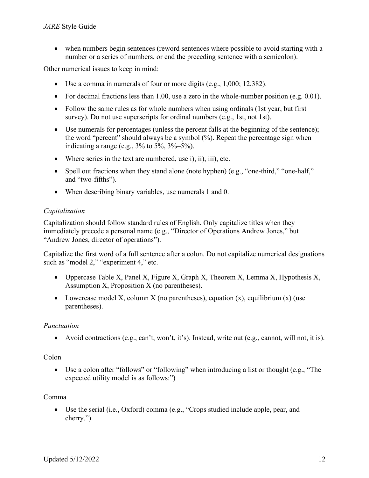• when numbers begin sentences (reword sentences where possible to avoid starting with a number or a series of numbers, or end the preceding sentence with a semicolon).

Other numerical issues to keep in mind:

- Use a comma in numerals of four or more digits (e.g., 1,000; 12,382).
- For decimal fractions less than 1.00, use a zero in the whole-number position (e.g. 0.01).
- Follow the same rules as for whole numbers when using ordinals (1st year, but first survey). Do not use superscripts for ordinal numbers (e.g., 1st, not 1st).
- Use numerals for percentages (unless the percent falls at the beginning of the sentence); the word "percent" should always be a symbol (%). Repeat the percentage sign when indicating a range (e.g.,  $3\%$  to  $5\%, 3\% - 5\%$ ).
- Where series in the text are numbered, use i), ii), iii), etc.
- Spell out fractions when they stand alone (note hyphen) (e.g., "one-third," "one-half," and "two-fifths").
- When describing binary variables, use numerals 1 and 0.

# *Capitalization*

Capitalization should follow standard rules of English. Only capitalize titles when they immediately precede a personal name (e.g., "Director of Operations Andrew Jones," but "Andrew Jones, director of operations").

Capitalize the first word of a full sentence after a colon. Do not capitalize numerical designations such as "model 2," "experiment 4," etc.

- Uppercase Table X, Panel X, Figure X, Graph X, Theorem X, Lemma X, Hypothesis X, Assumption X, Proposition X (no parentheses).
- Lowercase model X, column X (no parentheses), equation  $(x)$ , equilibrium  $(x)$  (use parentheses).

# *Punctuation*

• Avoid contractions (e.g., can't, won't, it's). Instead, write out (e.g., cannot, will not, it is).

# Colon

• Use a colon after "follows" or "following" when introducing a list or thought (e.g., "The expected utility model is as follows:")

# Comma

• Use the serial (i.e., Oxford) comma (e.g., "Crops studied include apple, pear, and cherry.")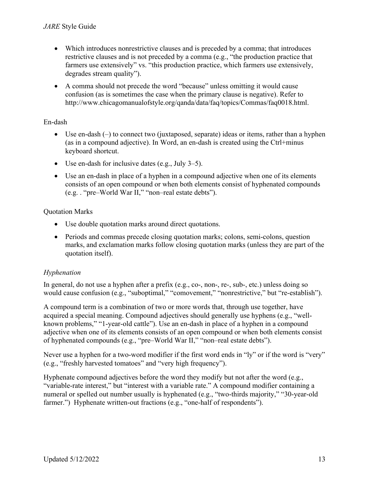- Which introduces nonrestrictive clauses and is preceded by a comma; that introduces restrictive clauses and is not preceded by a comma (e.g., "the production practice that farmers use extensively" vs. "this production practice, which farmers use extensively, degrades stream quality").
- A comma should not precede the word "because" unless omitting it would cause confusion (as is sometimes the case when the primary clause is negative). Refer to http://www.chicagomanualofstyle.org/qanda/data/faq/topics/Commas/faq0018.html.

# En-dash

- Use en-dash  $(-)$  to connect two (juxtaposed, separate) ideas or items, rather than a hyphen (as in a compound adjective). In Word, an en-dash is created using the Ctrl+minus keyboard shortcut.
- Use en-dash for inclusive dates (e.g., July 3–5).
- Use an en-dash in place of a hyphen in a compound adjective when one of its elements consists of an open compound or when both elements consist of hyphenated compounds (e.g. . "pre–World War II," "non–real estate debts").

## Quotation Marks

- Use double quotation marks around direct quotations.
- Periods and commas precede closing quotation marks; colons, semi-colons, question marks, and exclamation marks follow closing quotation marks (unless they are part of the quotation itself).

# *Hyphenation*

In general, do not use a hyphen after a prefix (e.g., co-, non-, re-, sub-, etc.) unless doing so would cause confusion (e.g., "suboptimal," "comovement," "nonrestrictive," but "re-establish").

A compound term is a combination of two or more words that, through use together, have acquired a special meaning. Compound adjectives should generally use hyphens (e.g., "wellknown problems," "1-year-old cattle"). Use an en-dash in place of a hyphen in a compound adjective when one of its elements consists of an open compound or when both elements consist of hyphenated compounds (e.g., "pre–World War II," "non–real estate debts").

Never use a hyphen for a two-word modifier if the first word ends in "ly" or if the word is "very" (e.g., "freshly harvested tomatoes" and "very high frequency").

Hyphenate compound adjectives before the word they modify but not after the word (e.g., "variable-rate interest," but "interest with a variable rate." A compound modifier containing a numeral or spelled out number usually is hyphenated (e.g., "two-thirds majority," "30-year-old farmer.") Hyphenate written-out fractions (e.g., "one-half of respondents").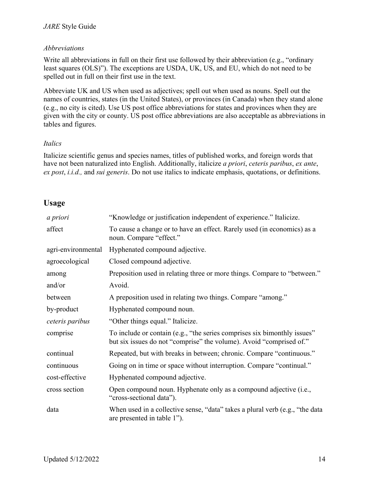## *Abbreviations*

Write all abbreviations in full on their first use followed by their abbreviation (e.g., "ordinary least squares (OLS)"). The exceptions are USDA, UK, US, and EU, which do not need to be spelled out in full on their first use in the text.

Abbreviate UK and US when used as adjectives; spell out when used as nouns. Spell out the names of countries, states (in the United States), or provinces (in Canada) when they stand alone (e.g., no city is cited). Use US post office abbreviations for states and provinces when they are given with the city or county. US post office abbreviations are also acceptable as abbreviations in tables and figures.

## *Italics*

Italicize scientific genus and species names, titles of published works, and foreign words that have not been naturalized into English. Additionally, italicize *a priori*, *ceteris paribus*, *ex ante*, *ex post*, *i.i.d.,* and *sui generis*. Do not use italics to indicate emphasis, quotations, or definitions.

# **Usage**

| a priori           | "Knowledge or justification independent of experience." Italicize.                                                                              |
|--------------------|-------------------------------------------------------------------------------------------------------------------------------------------------|
| affect             | To cause a change or to have an effect. Rarely used (in economics) as a<br>noun. Compare "effect."                                              |
| agri-environmental | Hyphenated compound adjective.                                                                                                                  |
| agroecological     | Closed compound adjective.                                                                                                                      |
| among              | Preposition used in relating three or more things. Compare to "between."                                                                        |
| and/or             | Avoid.                                                                                                                                          |
| between            | A preposition used in relating two things. Compare "among."                                                                                     |
| by-product         | Hyphenated compound noun.                                                                                                                       |
| ceteris paribus    | "Other things equal." Italicize.                                                                                                                |
| comprise           | To include or contain (e.g., "the series comprises six bimonthly issues"<br>but six issues do not "comprise" the volume). Avoid "comprised of." |
| continual          | Repeated, but with breaks in between; chronic. Compare "continuous."                                                                            |
| continuous         | Going on in time or space without interruption. Compare "continual."                                                                            |
| cost-effective     | Hyphenated compound adjective.                                                                                                                  |
| cross section      | Open compound noun. Hyphenate only as a compound adjective (i.e.,<br>"cross-sectional data").                                                   |
| data               | When used in a collective sense, "data" takes a plural verb (e.g., "the data<br>are presented in table 1").                                     |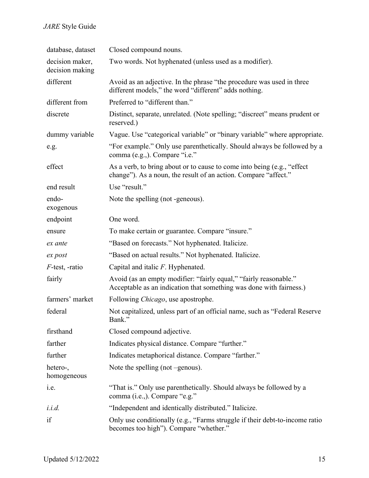| database, dataset                  | Closed compound nouns.                                                                                                                      |
|------------------------------------|---------------------------------------------------------------------------------------------------------------------------------------------|
| decision maker,<br>decision making | Two words. Not hyphenated (unless used as a modifier).                                                                                      |
| different                          | Avoid as an adjective. In the phrase "the procedure was used in three<br>different models," the word "different" adds nothing.              |
| different from                     | Preferred to "different than."                                                                                                              |
| discrete                           | Distinct, separate, unrelated. (Note spelling; "discreet" means prudent or<br>reserved.)                                                    |
| dummy variable                     | Vague. Use "categorical variable" or "binary variable" where appropriate.                                                                   |
| e.g.                               | "For example." Only use parenthetically. Should always be followed by a<br>comma (e.g.,). Compare "i.e."                                    |
| effect                             | As a verb, to bring about or to cause to come into being (e.g., "effect"<br>change"). As a noun, the result of an action. Compare "affect." |
| end result                         | Use "result."                                                                                                                               |
| endo-<br>exogenous                 | Note the spelling (not -geneous).                                                                                                           |
| endpoint                           | One word.                                                                                                                                   |
| ensure                             | To make certain or guarantee. Compare "insure."                                                                                             |
| ex ante                            | "Based on forecasts." Not hyphenated. Italicize.                                                                                            |
| ex post                            | "Based on actual results." Not hyphenated. Italicize.                                                                                       |
| $F$ -test, -ratio                  | Capital and italic $F$ . Hyphenated.                                                                                                        |
| fairly                             | Avoid (as an empty modifier: "fairly equal," "fairly reasonable."<br>Acceptable as an indication that something was done with fairness.)    |
| farmers' market                    | Following <i>Chicago</i> , use apostrophe.                                                                                                  |
| federal                            | Not capitalized, unless part of an official name, such as "Federal Reserve<br>Bank."                                                        |
| firsthand                          | Closed compound adjective.                                                                                                                  |
| farther                            | Indicates physical distance. Compare "further."                                                                                             |
| further                            | Indicates metaphorical distance. Compare "farther."                                                                                         |
| hetero-,<br>homogeneous            | Note the spelling (not $-genous$ ).                                                                                                         |
| <i>i.e.</i>                        | "That is." Only use parenthetically. Should always be followed by a<br>comma (i.e.,). Compare "e.g."                                        |
| i.i.d.                             | "Independent and identically distributed." Italicize.                                                                                       |
| if                                 | Only use conditionally (e.g., "Farms struggle if their debt-to-income ratio<br>becomes too high"). Compare "whether."                       |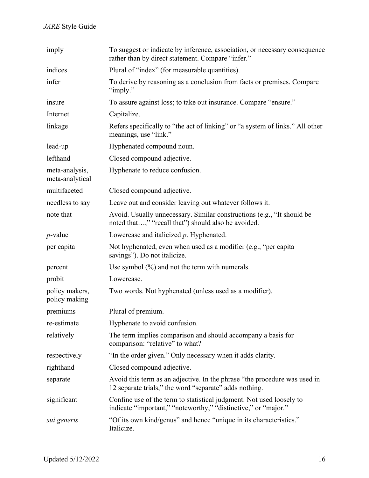| imply                             | To suggest or indicate by inference, association, or necessary consequence<br>rather than by direct statement. Compare "infer."        |
|-----------------------------------|----------------------------------------------------------------------------------------------------------------------------------------|
| indices                           | Plural of "index" (for measurable quantities).                                                                                         |
| infer                             | To derive by reasoning as a conclusion from facts or premises. Compare<br>"imply."                                                     |
| insure                            | To assure against loss; to take out insurance. Compare "ensure."                                                                       |
| Internet                          | Capitalize.                                                                                                                            |
| linkage                           | Refers specifically to "the act of linking" or "a system of links." All other<br>meanings, use "link."                                 |
| lead-up                           | Hyphenated compound noun.                                                                                                              |
| lefthand                          | Closed compound adjective.                                                                                                             |
| meta-analysis,<br>meta-analytical | Hyphenate to reduce confusion.                                                                                                         |
| multifaceted                      | Closed compound adjective.                                                                                                             |
| needless to say                   | Leave out and consider leaving out whatever follows it.                                                                                |
| note that                         | Avoid. Usually unnecessary. Similar constructions (e.g., "It should be<br>noted that," "recall that") should also be avoided.          |
| $p$ -value                        | Lowercase and italicized $p$ . Hyphenated.                                                                                             |
| per capita                        | Not hyphenated, even when used as a modifier (e.g., "per capita"<br>savings"). Do not italicize.                                       |
| percent                           | Use symbol $(\%)$ and not the term with numerals.                                                                                      |
| probit                            | Lowercase.                                                                                                                             |
| policy makers,<br>policy making   | Two words. Not hyphenated (unless used as a modifier).                                                                                 |
| premiums                          | Plural of premium.                                                                                                                     |
| re-estimate                       | Hyphenate to avoid confusion.                                                                                                          |
| relatively                        | The term implies comparison and should accompany a basis for<br>comparison: "relative" to what?                                        |
| respectively                      | "In the order given." Only necessary when it adds clarity.                                                                             |
| righthand                         | Closed compound adjective.                                                                                                             |
| separate                          | Avoid this term as an adjective. In the phrase "the procedure was used in<br>12 separate trials," the word "separate" adds nothing.    |
| significant                       | Confine use of the term to statistical judgment. Not used loosely to<br>indicate "important," "noteworthy," "distinctive," or "major." |
| sui generis                       | "Of its own kind/genus" and hence "unique in its characteristics."<br>Italicize.                                                       |